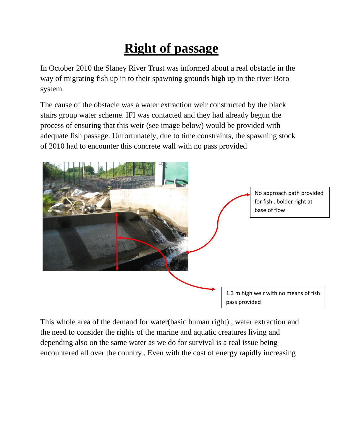## **Right of passage**

In October 2010 the Slaney River Trust was informed about a real obstacle in the way of migrating fish up in to their spawning grounds high up in the river Boro system.

The cause of the obstacle was a water extraction weir constructed by the black stairs group water scheme. IFI was contacted and they had already begun the process of ensuring that this weir (see image below) would be provided with adequate fish passage. Unfortunately, due to time constraints, the spawning stock of 2010 had to encounter this concrete wall with no pass provided



This whole area of the demand for water(basic human right) , water extraction and the need to consider the rights of the marine and aquatic creatures living and depending also on the same water as we do for survival is a real issue being encountered all over the country . Even with the cost of energy rapidly increasing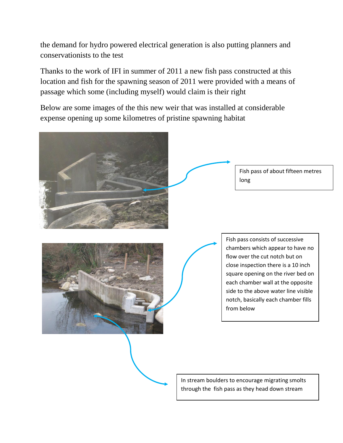the demand for hydro powered electrical generation is also putting planners and conservationists to the test

Thanks to the work of IFI in summer of 2011 a new fish pass constructed at this location and fish for the spawning season of 2011 were provided with a means of passage which some (including myself) would claim is their right

Below are some images of the this new weir that was installed at considerable expense opening up some kilometres of pristine spawning habitat